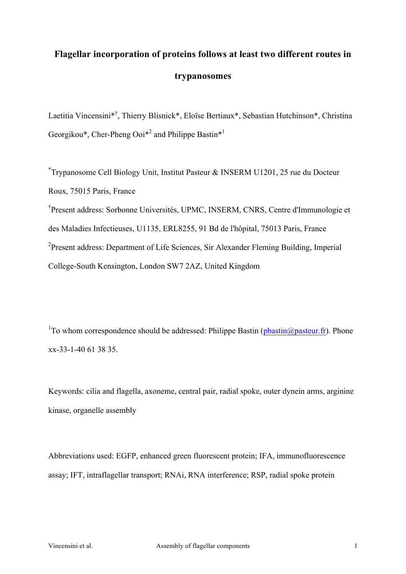# **Flagellar incorporation of proteins follows at least two different routes in trypanosomes**

Laetitia Vincensini\*<sup>†</sup>, Thierry Blisnick\*, Eloïse Bertiaux\*, Sebastian Hutchinson\*, Christina Georgikou\*, Cher-Pheng Ooi<sup>\*2</sup> and Philippe Bastin<sup>\*1</sup>

\* Trypanosome Cell Biology Unit, Institut Pasteur & INSERM U1201, 25 rue du Docteur Roux, 75015 Paris, France

† Present address: Sorbonne Universités, UPMC, INSERM, CNRS, Centre d'Immunologie et des Maladies Infectieuses, U1135, ERL8255, 91 Bd de l'hôpital, 75013 Paris, France <sup>2</sup>Present address: Department of Life Sciences, Sir Alexander Fleming Building, Imperial College-South Kensington, London SW7 2AZ, United Kingdom

<sup>1</sup>To whom correspondence should be addressed: Philippe Bastin (pbastin@pasteur.fr). Phone xx-33-1-40 61 38 35.

Keywords: cilia and flagella, axoneme, central pair, radial spoke, outer dynein arms, arginine kinase, organelle assembly

Abbreviations used: EGFP, enhanced green fluorescent protein; IFA, immunofluorescence assay; IFT, intraflagellar transport; RNAi, RNA interference; RSP, radial spoke protein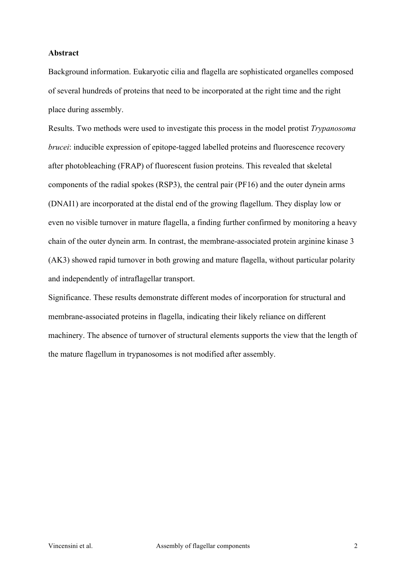### **Abstract**

Background information. Eukaryotic cilia and flagella are sophisticated organelles composed of several hundreds of proteins that need to be incorporated at the right time and the right place during assembly.

Results. Two methods were used to investigate this process in the model protist *Trypanosoma brucei*: inducible expression of epitope-tagged labelled proteins and fluorescence recovery after photobleaching (FRAP) of fluorescent fusion proteins. This revealed that skeletal components of the radial spokes (RSP3), the central pair (PF16) and the outer dynein arms (DNAI1) are incorporated at the distal end of the growing flagellum. They display low or even no visible turnover in mature flagella, a finding further confirmed by monitoring a heavy chain of the outer dynein arm. In contrast, the membrane-associated protein arginine kinase 3 (AK3) showed rapid turnover in both growing and mature flagella, without particular polarity and independently of intraflagellar transport.

Significance. These results demonstrate different modes of incorporation for structural and membrane-associated proteins in flagella, indicating their likely reliance on different machinery. The absence of turnover of structural elements supports the view that the length of the mature flagellum in trypanosomes is not modified after assembly.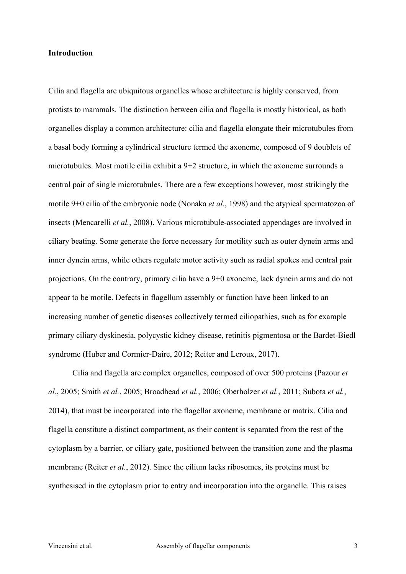### **Introduction**

Cilia and flagella are ubiquitous organelles whose architecture is highly conserved, from protists to mammals. The distinction between cilia and flagella is mostly historical, as both organelles display a common architecture: cilia and flagella elongate their microtubules from a basal body forming a cylindrical structure termed the axoneme, composed of 9 doublets of microtubules. Most motile cilia exhibit a 9+2 structure, in which the axoneme surrounds a central pair of single microtubules. There are a few exceptions however, most strikingly the motile 9+0 cilia of the embryonic node (Nonaka *et al.*, 1998) and the atypical spermatozoa of insects (Mencarelli *et al.*, 2008). Various microtubule-associated appendages are involved in ciliary beating. Some generate the force necessary for motility such as outer dynein arms and inner dynein arms, while others regulate motor activity such as radial spokes and central pair projections. On the contrary, primary cilia have a 9+0 axoneme, lack dynein arms and do not appear to be motile. Defects in flagellum assembly or function have been linked to an increasing number of genetic diseases collectively termed ciliopathies, such as for example primary ciliary dyskinesia, polycystic kidney disease, retinitis pigmentosa or the Bardet-Biedl syndrome (Huber and Cormier-Daire, 2012; Reiter and Leroux, 2017).

Cilia and flagella are complex organelles, composed of over 500 proteins (Pazour *et al.*, 2005; Smith *et al.*, 2005; Broadhead *et al.*, 2006; Oberholzer *et al.*, 2011; Subota *et al.*, 2014), that must be incorporated into the flagellar axoneme, membrane or matrix. Cilia and flagella constitute a distinct compartment, as their content is separated from the rest of the cytoplasm by a barrier, or ciliary gate, positioned between the transition zone and the plasma membrane (Reiter *et al.*, 2012). Since the cilium lacks ribosomes, its proteins must be synthesised in the cytoplasm prior to entry and incorporation into the organelle. This raises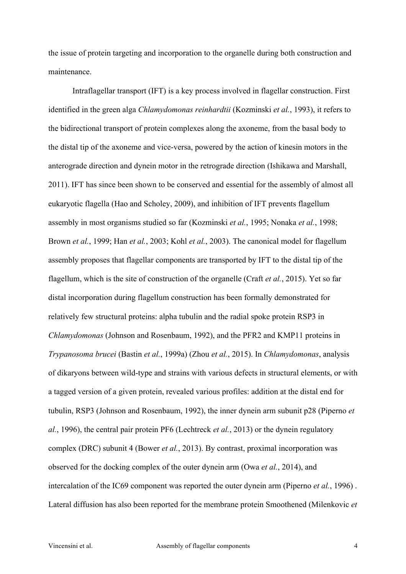the issue of protein targeting and incorporation to the organelle during both construction and maintenance.

Intraflagellar transport (IFT) is a key process involved in flagellar construction. First identified in the green alga *Chlamydomonas reinhardtii* (Kozminski *et al.*, 1993), it refers to the bidirectional transport of protein complexes along the axoneme, from the basal body to the distal tip of the axoneme and vice-versa, powered by the action of kinesin motors in the anterograde direction and dynein motor in the retrograde direction (Ishikawa and Marshall, 2011). IFT has since been shown to be conserved and essential for the assembly of almost all eukaryotic flagella (Hao and Scholey, 2009), and inhibition of IFT prevents flagellum assembly in most organisms studied so far (Kozminski *et al.*, 1995; Nonaka *et al.*, 1998; Brown *et al.*, 1999; Han *et al.*, 2003; Kohl *et al.*, 2003). The canonical model for flagellum assembly proposes that flagellar components are transported by IFT to the distal tip of the flagellum, which is the site of construction of the organelle (Craft *et al.*, 2015). Yet so far distal incorporation during flagellum construction has been formally demonstrated for relatively few structural proteins: alpha tubulin and the radial spoke protein RSP3 in *Chlamydomonas* (Johnson and Rosenbaum, 1992), and the PFR2 and KMP11 proteins in *Trypanosoma brucei* (Bastin *et al.*, 1999a) (Zhou *et al.*, 2015). In *Chlamydomonas*, analysis of dikaryons between wild-type and strains with various defects in structural elements, or with a tagged version of a given protein, revealed various profiles: addition at the distal end for tubulin, RSP3 (Johnson and Rosenbaum, 1992), the inner dynein arm subunit p28 (Piperno *et al.*, 1996), the central pair protein PF6 (Lechtreck *et al.*, 2013) or the dynein regulatory complex (DRC) subunit 4 (Bower *et al.*, 2013). By contrast, proximal incorporation was observed for the docking complex of the outer dynein arm (Owa *et al.*, 2014), and intercalation of the IC69 component was reported the outer dynein arm (Piperno *et al.*, 1996) . Lateral diffusion has also been reported for the membrane protein Smoothened (Milenkovic *et*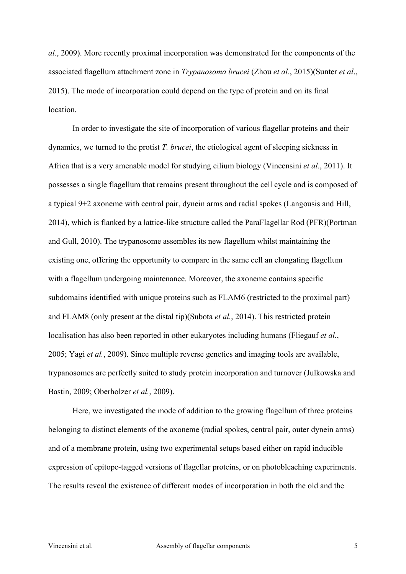*al.*, 2009). More recently proximal incorporation was demonstrated for the components of the associated flagellum attachment zone in *Trypanosoma brucei* (Zhou *et al.*, 2015)(Sunter *et al*., 2015). The mode of incorporation could depend on the type of protein and on its final location.

In order to investigate the site of incorporation of various flagellar proteins and their dynamics, we turned to the protist *T. brucei*, the etiological agent of sleeping sickness in Africa that is a very amenable model for studying cilium biology (Vincensini *et al.*, 2011). It possesses a single flagellum that remains present throughout the cell cycle and is composed of a typical 9+2 axoneme with central pair, dynein arms and radial spokes (Langousis and Hill, 2014), which is flanked by a lattice-like structure called the ParaFlagellar Rod (PFR)(Portman and Gull, 2010). The trypanosome assembles its new flagellum whilst maintaining the existing one, offering the opportunity to compare in the same cell an elongating flagellum with a flagellum undergoing maintenance. Moreover, the axoneme contains specific subdomains identified with unique proteins such as FLAM6 (restricted to the proximal part) and FLAM8 (only present at the distal tip)(Subota *et al.*, 2014). This restricted protein localisation has also been reported in other eukaryotes including humans (Fliegauf *et al.*, 2005; Yagi *et al.*, 2009). Since multiple reverse genetics and imaging tools are available, trypanosomes are perfectly suited to study protein incorporation and turnover (Julkowska and Bastin, 2009; Oberholzer *et al.*, 2009).

Here, we investigated the mode of addition to the growing flagellum of three proteins belonging to distinct elements of the axoneme (radial spokes, central pair, outer dynein arms) and of a membrane protein, using two experimental setups based either on rapid inducible expression of epitope-tagged versions of flagellar proteins, or on photobleaching experiments. The results reveal the existence of different modes of incorporation in both the old and the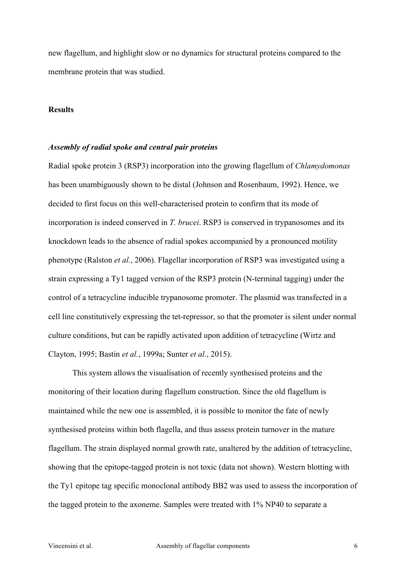new flagellum, and highlight slow or no dynamics for structural proteins compared to the membrane protein that was studied.

### **Results**

### *Assembly of radial spoke and central pair proteins*

Radial spoke protein 3 (RSP3) incorporation into the growing flagellum of *Chlamydomonas* has been unambiguously shown to be distal (Johnson and Rosenbaum, 1992). Hence, we decided to first focus on this well-characterised protein to confirm that its mode of incorporation is indeed conserved in *T. brucei*. RSP3 is conserved in trypanosomes and its knockdown leads to the absence of radial spokes accompanied by a pronounced motility phenotype (Ralston *et al.*, 2006). Flagellar incorporation of RSP3 was investigated using a strain expressing a Ty1 tagged version of the RSP3 protein (N-terminal tagging) under the control of a tetracycline inducible trypanosome promoter. The plasmid was transfected in a cell line constitutively expressing the tet-repressor, so that the promoter is silent under normal culture conditions, but can be rapidly activated upon addition of tetracycline (Wirtz and Clayton, 1995; Bastin *et al.*, 1999a; Sunter *et al.*, 2015).

This system allows the visualisation of recently synthesised proteins and the monitoring of their location during flagellum construction. Since the old flagellum is maintained while the new one is assembled, it is possible to monitor the fate of newly synthesised proteins within both flagella, and thus assess protein turnover in the mature flagellum. The strain displayed normal growth rate, unaltered by the addition of tetracycline, showing that the epitope-tagged protein is not toxic (data not shown). Western blotting with the Ty1 epitope tag specific monoclonal antibody BB2 was used to assess the incorporation of the tagged protein to the axoneme. Samples were treated with 1% NP40 to separate a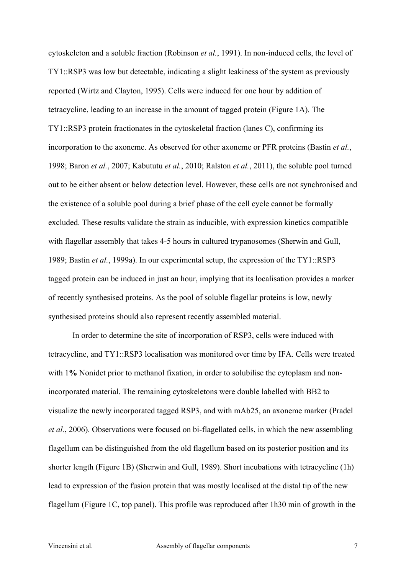cytoskeleton and a soluble fraction (Robinson *et al.*, 1991). In non-induced cells, the level of TY1::RSP3 was low but detectable, indicating a slight leakiness of the system as previously reported (Wirtz and Clayton, 1995). Cells were induced for one hour by addition of tetracycline, leading to an increase in the amount of tagged protein (Figure 1A). The TY1::RSP3 protein fractionates in the cytoskeletal fraction (lanes C), confirming its incorporation to the axoneme. As observed for other axoneme or PFR proteins (Bastin *et al.*, 1998; Baron *et al.*, 2007; Kabututu *et al.*, 2010; Ralston *et al.*, 2011), the soluble pool turned out to be either absent or below detection level. However, these cells are not synchronised and the existence of a soluble pool during a brief phase of the cell cycle cannot be formally excluded. These results validate the strain as inducible, with expression kinetics compatible with flagellar assembly that takes 4-5 hours in cultured trypanosomes (Sherwin and Gull, 1989; Bastin *et al.*, 1999a). In our experimental setup, the expression of the TY1::RSP3 tagged protein can be induced in just an hour, implying that its localisation provides a marker of recently synthesised proteins. As the pool of soluble flagellar proteins is low, newly synthesised proteins should also represent recently assembled material.

In order to determine the site of incorporation of RSP3, cells were induced with tetracycline, and TY1::RSP3 localisation was monitored over time by IFA. Cells were treated with 1% Nonidet prior to methanol fixation, in order to solubilise the cytoplasm and nonincorporated material. The remaining cytoskeletons were double labelled with BB2 to visualize the newly incorporated tagged RSP3, and with mAb25, an axoneme marker (Pradel *et al.*, 2006). Observations were focused on bi-flagellated cells, in which the new assembling flagellum can be distinguished from the old flagellum based on its posterior position and its shorter length (Figure 1B) (Sherwin and Gull, 1989). Short incubations with tetracycline (1h) lead to expression of the fusion protein that was mostly localised at the distal tip of the new flagellum (Figure 1C, top panel). This profile was reproduced after 1h30 min of growth in the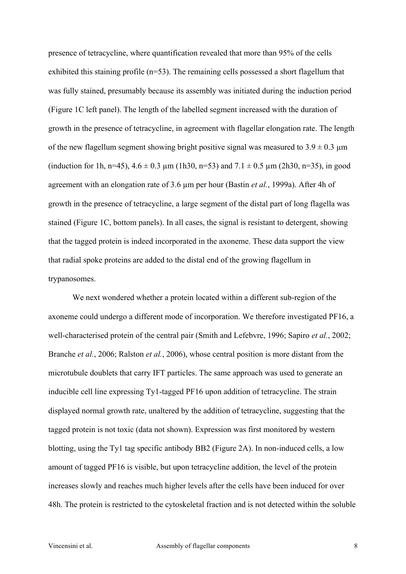presence of tetracycline, where quantification revealed that more than 95% of the cells exhibited this staining profile (n=53). The remaining cells possessed a short flagellum that was fully stained, presumably because its assembly was initiated during the induction period (Figure 1C left panel). The length of the labelled segment increased with the duration of growth in the presence of tetracycline, in agreement with flagellar elongation rate. The length of the new flagellum segment showing bright positive signal was measured to  $3.9 \pm 0.3$  µm (induction for 1h, n=45),  $4.6 \pm 0.3$  µm (1h30, n=53) and  $7.1 \pm 0.5$  µm (2h30, n=35), in good agreement with an elongation rate of 3.6 µm per hour (Bastin *et al.*, 1999a). After 4h of growth in the presence of tetracycline, a large segment of the distal part of long flagella was stained (Figure 1C, bottom panels). In all cases, the signal is resistant to detergent, showing that the tagged protein is indeed incorporated in the axoneme. These data support the view that radial spoke proteins are added to the distal end of the growing flagellum in trypanosomes.

We next wondered whether a protein located within a different sub-region of the axoneme could undergo a different mode of incorporation. We therefore investigated PF16, a well-characterised protein of the central pair (Smith and Lefebvre, 1996; Sapiro *et al.*, 2002; Branche *et al.*, 2006; Ralston *et al.*, 2006), whose central position is more distant from the microtubule doublets that carry IFT particles. The same approach was used to generate an inducible cell line expressing Ty1-tagged PF16 upon addition of tetracycline. The strain displayed normal growth rate, unaltered by the addition of tetracycline, suggesting that the tagged protein is not toxic (data not shown). Expression was first monitored by western blotting, using the Ty1 tag specific antibody BB2 (Figure 2A). In non-induced cells, a low amount of tagged PF16 is visible, but upon tetracycline addition, the level of the protein increases slowly and reaches much higher levels after the cells have been induced for over 48h. The protein is restricted to the cytoskeletal fraction and is not detected within the soluble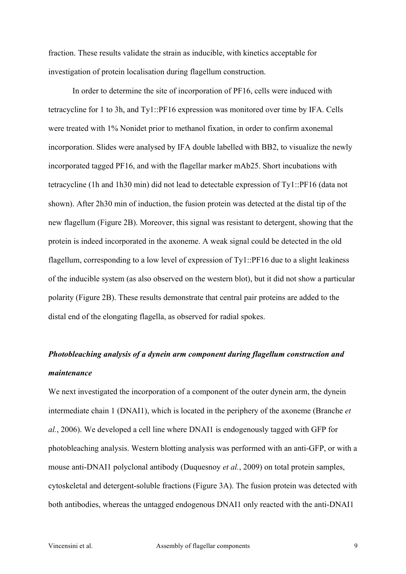fraction. These results validate the strain as inducible, with kinetics acceptable for investigation of protein localisation during flagellum construction.

In order to determine the site of incorporation of PF16, cells were induced with tetracycline for 1 to 3h, and Ty1::PF16 expression was monitored over time by IFA. Cells were treated with 1% Nonidet prior to methanol fixation, in order to confirm axonemal incorporation. Slides were analysed by IFA double labelled with BB2, to visualize the newly incorporated tagged PF16, and with the flagellar marker mAb25. Short incubations with tetracycline (1h and 1h30 min) did not lead to detectable expression of Ty1::PF16 (data not shown). After 2h30 min of induction, the fusion protein was detected at the distal tip of the new flagellum (Figure 2B). Moreover, this signal was resistant to detergent, showing that the protein is indeed incorporated in the axoneme. A weak signal could be detected in the old flagellum, corresponding to a low level of expression of Ty1::PF16 due to a slight leakiness of the inducible system (as also observed on the western blot), but it did not show a particular polarity (Figure 2B). These results demonstrate that central pair proteins are added to the distal end of the elongating flagella, as observed for radial spokes.

## *Photobleaching analysis of a dynein arm component during flagellum construction and maintenance*

We next investigated the incorporation of a component of the outer dynein arm, the dynein intermediate chain 1 (DNAI1), which is located in the periphery of the axoneme (Branche *et al.*, 2006). We developed a cell line where DNAI1 is endogenously tagged with GFP for photobleaching analysis. Western blotting analysis was performed with an anti-GFP, or with a mouse anti-DNAI1 polyclonal antibody (Duquesnoy *et al.*, 2009) on total protein samples, cytoskeletal and detergent-soluble fractions (Figure 3A). The fusion protein was detected with both antibodies, whereas the untagged endogenous DNAI1 only reacted with the anti-DNAI1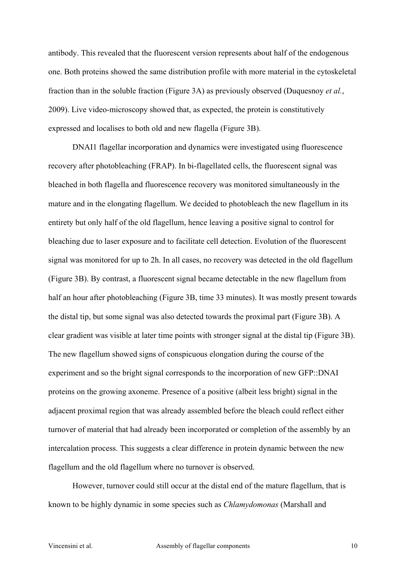antibody. This revealed that the fluorescent version represents about half of the endogenous one. Both proteins showed the same distribution profile with more material in the cytoskeletal fraction than in the soluble fraction (Figure 3A) as previously observed (Duquesnoy *et al.*, 2009). Live video-microscopy showed that, as expected, the protein is constitutively expressed and localises to both old and new flagella (Figure 3B).

DNAI1 flagellar incorporation and dynamics were investigated using fluorescence recovery after photobleaching (FRAP). In bi-flagellated cells, the fluorescent signal was bleached in both flagella and fluorescence recovery was monitored simultaneously in the mature and in the elongating flagellum. We decided to photobleach the new flagellum in its entirety but only half of the old flagellum, hence leaving a positive signal to control for bleaching due to laser exposure and to facilitate cell detection. Evolution of the fluorescent signal was monitored for up to 2h. In all cases, no recovery was detected in the old flagellum (Figure 3B). By contrast, a fluorescent signal became detectable in the new flagellum from half an hour after photobleaching (Figure 3B, time 33 minutes). It was mostly present towards the distal tip, but some signal was also detected towards the proximal part (Figure 3B). A clear gradient was visible at later time points with stronger signal at the distal tip (Figure 3B). The new flagellum showed signs of conspicuous elongation during the course of the experiment and so the bright signal corresponds to the incorporation of new GFP::DNAI proteins on the growing axoneme. Presence of a positive (albeit less bright) signal in the adjacent proximal region that was already assembled before the bleach could reflect either turnover of material that had already been incorporated or completion of the assembly by an intercalation process. This suggests a clear difference in protein dynamic between the new flagellum and the old flagellum where no turnover is observed.

However, turnover could still occur at the distal end of the mature flagellum, that is known to be highly dynamic in some species such as *Chlamydomonas* (Marshall and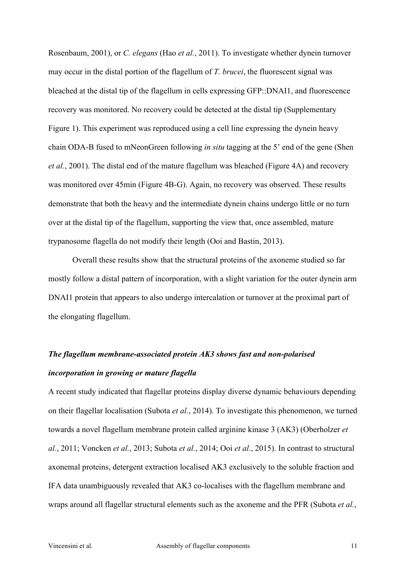Rosenbaum, 2001), or *C. elegans* (Hao *et al.*, 2011). To investigate whether dynein turnover may occur in the distal portion of the flagellum of *T. brucei*, the fluorescent signal was bleached at the distal tip of the flagellum in cells expressing GFP::DNAI1, and fluorescence recovery was monitored. No recovery could be detected at the distal tip (Supplementary Figure 1). This experiment was reproduced using a cell line expressing the dynein heavy chain ODA-B fused to mNeonGreen following *in situ* tagging at the 5' end of the gene (Shen *et al.*, 2001). The distal end of the mature flagellum was bleached (Figure 4A) and recovery was monitored over 45min (Figure 4B-G). Again, no recovery was observed. These results demonstrate that both the heavy and the intermediate dynein chains undergo little or no turn over at the distal tip of the flagellum, supporting the view that, once assembled, mature trypanosome flagella do not modify their length (Ooi and Bastin, 2013).

Overall these results show that the structural proteins of the axoneme studied so far mostly follow a distal pattern of incorporation, with a slight variation for the outer dynein arm DNAI1 protein that appears to also undergo intercalation or turnover at the proximal part of the elongating flagellum.

## *The flagellum membrane-associated protein AK3 shows fast and non-polarised incorporation in growing or mature flagella*

A recent study indicated that flagellar proteins display diverse dynamic behaviours depending on their flagellar localisation (Subota *et al.*, 2014). To investigate this phenomenon, we turned towards a novel flagellum membrane protein called arginine kinase 3 (AK3) (Oberholzer *et al.*, 2011; Voncken *et al.*, 2013; Subota *et al.*, 2014; Ooi *et al.*, 2015). In contrast to structural axonemal proteins, detergent extraction localised AK3 exclusively to the soluble fraction and IFA data unambiguously revealed that AK3 co-localises with the flagellum membrane and wraps around all flagellar structural elements such as the axoneme and the PFR (Subota *et al.*,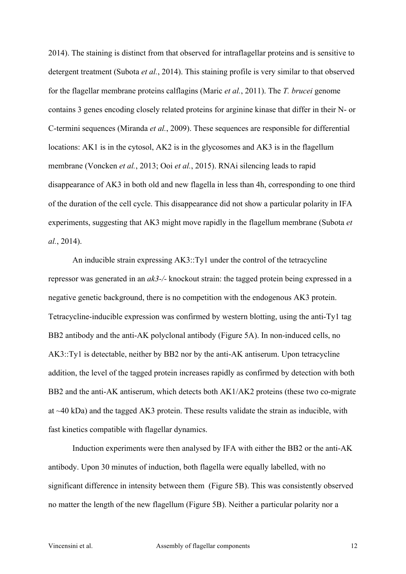2014). The staining is distinct from that observed for intraflagellar proteins and is sensitive to detergent treatment (Subota *et al.*, 2014). This staining profile is very similar to that observed for the flagellar membrane proteins calflagins (Maric *et al.*, 2011). The *T. brucei* genome contains 3 genes encoding closely related proteins for arginine kinase that differ in their N- or C-termini sequences (Miranda *et al.*, 2009). These sequences are responsible for differential locations: AK1 is in the cytosol, AK2 is in the glycosomes and AK3 is in the flagellum membrane (Voncken *et al.*, 2013; Ooi *et al.*, 2015). RNAi silencing leads to rapid disappearance of AK3 in both old and new flagella in less than 4h, corresponding to one third of the duration of the cell cycle. This disappearance did not show a particular polarity in IFA experiments, suggesting that AK3 might move rapidly in the flagellum membrane (Subota *et al.*, 2014).

An inducible strain expressing AK3::Ty1 under the control of the tetracycline repressor was generated in an *ak3-/-* knockout strain: the tagged protein being expressed in a negative genetic background, there is no competition with the endogenous AK3 protein. Tetracycline-inducible expression was confirmed by western blotting, using the anti-Ty1 tag BB2 antibody and the anti-AK polyclonal antibody (Figure 5A). In non-induced cells, no AK3::Ty1 is detectable, neither by BB2 nor by the anti-AK antiserum. Upon tetracycline addition, the level of the tagged protein increases rapidly as confirmed by detection with both BB2 and the anti-AK antiserum, which detects both AK1/AK2 proteins (these two co-migrate at ~40 kDa) and the tagged AK3 protein. These results validate the strain as inducible, with fast kinetics compatible with flagellar dynamics.

Induction experiments were then analysed by IFA with either the BB2 or the anti-AK antibody. Upon 30 minutes of induction, both flagella were equally labelled, with no significant difference in intensity between them (Figure 5B). This was consistently observed no matter the length of the new flagellum (Figure 5B). Neither a particular polarity nor a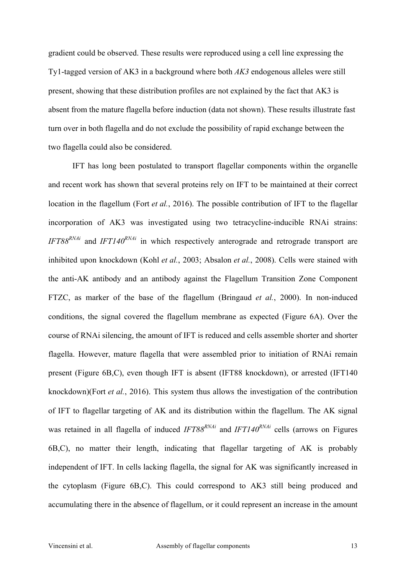gradient could be observed. These results were reproduced using a cell line expressing the Ty1-tagged version of AK3 in a background where both *AK3* endogenous alleles were still present, showing that these distribution profiles are not explained by the fact that AK3 is absent from the mature flagella before induction (data not shown). These results illustrate fast turn over in both flagella and do not exclude the possibility of rapid exchange between the two flagella could also be considered.

IFT has long been postulated to transport flagellar components within the organelle and recent work has shown that several proteins rely on IFT to be maintained at their correct location in the flagellum (Fort *et al.*, 2016). The possible contribution of IFT to the flagellar incorporation of AK3 was investigated using two tetracycline-inducible RNAi strains: *IFT88<sup>RNAi</sup>* and *IFT140<sup>RNAi</sup>* in which respectively anterograde and retrograde transport are inhibited upon knockdown (Kohl *et al.*, 2003; Absalon *et al.*, 2008). Cells were stained with the anti-AK antibody and an antibody against the Flagellum Transition Zone Component FTZC, as marker of the base of the flagellum (Bringaud *et al.*, 2000). In non-induced conditions, the signal covered the flagellum membrane as expected (Figure 6A). Over the course of RNAi silencing, the amount of IFT is reduced and cells assemble shorter and shorter flagella. However, mature flagella that were assembled prior to initiation of RNAi remain present (Figure 6B,C), even though IFT is absent (IFT88 knockdown), or arrested (IFT140 knockdown)(Fort *et al.*, 2016). This system thus allows the investigation of the contribution of IFT to flagellar targeting of AK and its distribution within the flagellum. The AK signal was retained in all flagella of induced *IFT88<sup>RNAi</sup>* and *IFT140<sup>RNAi*</sup> cells (arrows on Figures 6B,C), no matter their length, indicating that flagellar targeting of AK is probably independent of IFT. In cells lacking flagella, the signal for AK was significantly increased in the cytoplasm (Figure 6B,C). This could correspond to AK3 still being produced and accumulating there in the absence of flagellum, or it could represent an increase in the amount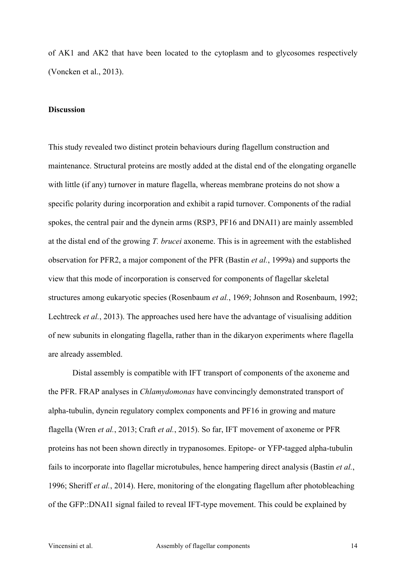of AK1 and AK2 that have been located to the cytoplasm and to glycosomes respectively (Voncken et al., 2013).

### **Discussion**

This study revealed two distinct protein behaviours during flagellum construction and maintenance. Structural proteins are mostly added at the distal end of the elongating organelle with little (if any) turnover in mature flagella, whereas membrane proteins do not show a specific polarity during incorporation and exhibit a rapid turnover. Components of the radial spokes, the central pair and the dynein arms (RSP3, PF16 and DNAI1) are mainly assembled at the distal end of the growing *T. brucei* axoneme. This is in agreement with the established observation for PFR2, a major component of the PFR (Bastin *et al.*, 1999a) and supports the view that this mode of incorporation is conserved for components of flagellar skeletal structures among eukaryotic species (Rosenbaum *et al.*, 1969; Johnson and Rosenbaum, 1992; Lechtreck *et al.*, 2013). The approaches used here have the advantage of visualising addition of new subunits in elongating flagella, rather than in the dikaryon experiments where flagella are already assembled.

Distal assembly is compatible with IFT transport of components of the axoneme and the PFR. FRAP analyses in *Chlamydomonas* have convincingly demonstrated transport of alpha-tubulin, dynein regulatory complex components and PF16 in growing and mature flagella (Wren *et al.*, 2013; Craft *et al.*, 2015). So far, IFT movement of axoneme or PFR proteins has not been shown directly in trypanosomes. Epitope- or YFP-tagged alpha-tubulin fails to incorporate into flagellar microtubules, hence hampering direct analysis (Bastin *et al.*, 1996; Sheriff *et al.*, 2014). Here, monitoring of the elongating flagellum after photobleaching of the GFP::DNAI1 signal failed to reveal IFT-type movement. This could be explained by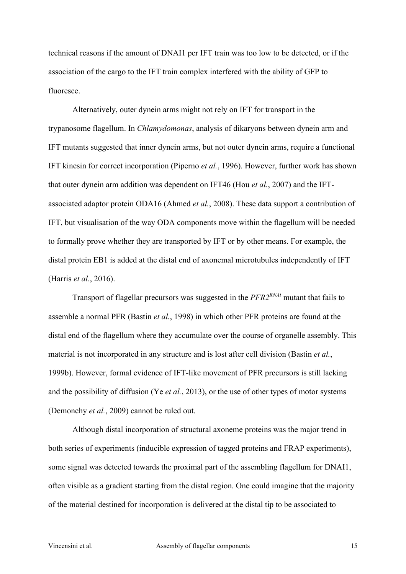technical reasons if the amount of DNAI1 per IFT train was too low to be detected, or if the association of the cargo to the IFT train complex interfered with the ability of GFP to fluoresce.

Alternatively, outer dynein arms might not rely on IFT for transport in the trypanosome flagellum. In *Chlamydomonas*, analysis of dikaryons between dynein arm and IFT mutants suggested that inner dynein arms, but not outer dynein arms, require a functional IFT kinesin for correct incorporation (Piperno *et al.*, 1996). However, further work has shown that outer dynein arm addition was dependent on IFT46 (Hou *et al.*, 2007) and the IFTassociated adaptor protein ODA16 (Ahmed *et al.*, 2008). These data support a contribution of IFT, but visualisation of the way ODA components move within the flagellum will be needed to formally prove whether they are transported by IFT or by other means. For example, the distal protein EB1 is added at the distal end of axonemal microtubules independently of IFT (Harris *et al.*, 2016).

Transport of flagellar precursors was suggested in the *PFR2RNAi* mutant that fails to assemble a normal PFR (Bastin *et al.*, 1998) in which other PFR proteins are found at the distal end of the flagellum where they accumulate over the course of organelle assembly. This material is not incorporated in any structure and is lost after cell division (Bastin *et al.*, 1999b). However, formal evidence of IFT-like movement of PFR precursors is still lacking and the possibility of diffusion (Ye *et al.*, 2013), or the use of other types of motor systems (Demonchy *et al.*, 2009) cannot be ruled out.

Although distal incorporation of structural axoneme proteins was the major trend in both series of experiments (inducible expression of tagged proteins and FRAP experiments), some signal was detected towards the proximal part of the assembling flagellum for DNAI1, often visible as a gradient starting from the distal region. One could imagine that the majority of the material destined for incorporation is delivered at the distal tip to be associated to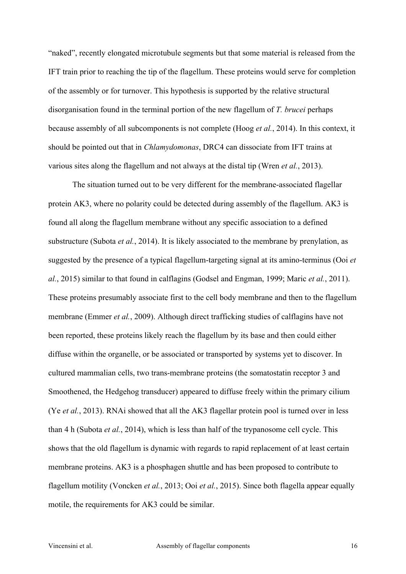"naked", recently elongated microtubule segments but that some material is released from the IFT train prior to reaching the tip of the flagellum. These proteins would serve for completion of the assembly or for turnover. This hypothesis is supported by the relative structural disorganisation found in the terminal portion of the new flagellum of *T. brucei* perhaps because assembly of all subcomponents is not complete (Hoog *et al.*, 2014). In this context, it should be pointed out that in *Chlamydomonas*, DRC4 can dissociate from IFT trains at various sites along the flagellum and not always at the distal tip (Wren *et al.*, 2013).

The situation turned out to be very different for the membrane-associated flagellar protein AK3, where no polarity could be detected during assembly of the flagellum. AK3 is found all along the flagellum membrane without any specific association to a defined substructure (Subota *et al.*, 2014). It is likely associated to the membrane by prenylation, as suggested by the presence of a typical flagellum-targeting signal at its amino-terminus (Ooi *et al.*, 2015) similar to that found in calflagins (Godsel and Engman, 1999; Maric *et al.*, 2011). These proteins presumably associate first to the cell body membrane and then to the flagellum membrane (Emmer *et al.*, 2009). Although direct trafficking studies of calflagins have not been reported, these proteins likely reach the flagellum by its base and then could either diffuse within the organelle, or be associated or transported by systems yet to discover. In cultured mammalian cells, two trans-membrane proteins (the somatostatin receptor 3 and Smoothened, the Hedgehog transducer) appeared to diffuse freely within the primary cilium (Ye *et al.*, 2013). RNAi showed that all the AK3 flagellar protein pool is turned over in less than 4 h (Subota *et al.*, 2014), which is less than half of the trypanosome cell cycle. This shows that the old flagellum is dynamic with regards to rapid replacement of at least certain membrane proteins. AK3 is a phosphagen shuttle and has been proposed to contribute to flagellum motility (Voncken *et al.*, 2013; Ooi *et al.*, 2015). Since both flagella appear equally motile, the requirements for AK3 could be similar.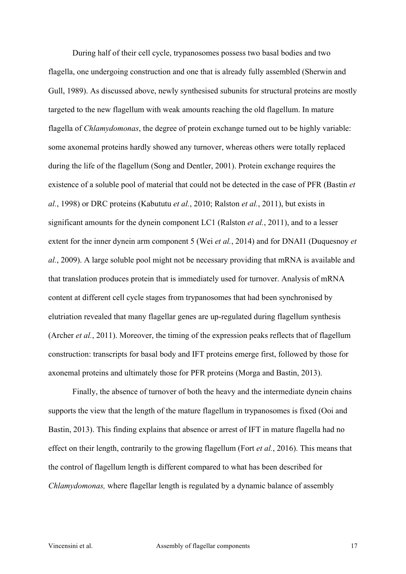During half of their cell cycle, trypanosomes possess two basal bodies and two flagella, one undergoing construction and one that is already fully assembled (Sherwin and Gull, 1989). As discussed above, newly synthesised subunits for structural proteins are mostly targeted to the new flagellum with weak amounts reaching the old flagellum. In mature flagella of *Chlamydomonas*, the degree of protein exchange turned out to be highly variable: some axonemal proteins hardly showed any turnover, whereas others were totally replaced during the life of the flagellum (Song and Dentler, 2001). Protein exchange requires the existence of a soluble pool of material that could not be detected in the case of PFR (Bastin *et al.*, 1998) or DRC proteins (Kabututu *et al.*, 2010; Ralston *et al.*, 2011), but exists in significant amounts for the dynein component LC1 (Ralston *et al.*, 2011), and to a lesser extent for the inner dynein arm component 5 (Wei *et al.*, 2014) and for DNAI1 (Duquesnoy *et al.*, 2009). A large soluble pool might not be necessary providing that mRNA is available and that translation produces protein that is immediately used for turnover. Analysis of mRNA content at different cell cycle stages from trypanosomes that had been synchronised by elutriation revealed that many flagellar genes are up-regulated during flagellum synthesis (Archer *et al.*, 2011). Moreover, the timing of the expression peaks reflects that of flagellum construction: transcripts for basal body and IFT proteins emerge first, followed by those for axonemal proteins and ultimately those for PFR proteins (Morga and Bastin, 2013).

Finally, the absence of turnover of both the heavy and the intermediate dynein chains supports the view that the length of the mature flagellum in trypanosomes is fixed (Ooi and Bastin, 2013). This finding explains that absence or arrest of IFT in mature flagella had no effect on their length, contrarily to the growing flagellum (Fort *et al.*, 2016). This means that the control of flagellum length is different compared to what has been described for *Chlamydomonas,* where flagellar length is regulated by a dynamic balance of assembly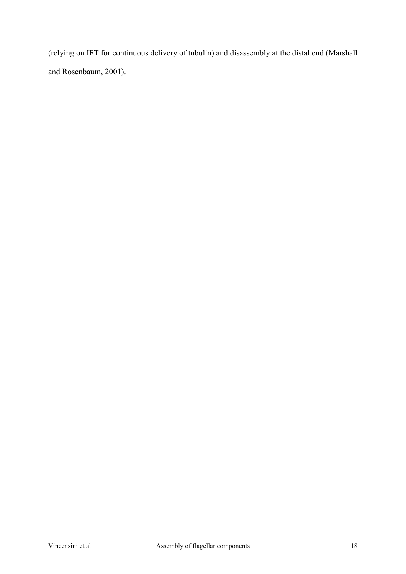(relying on IFT for continuous delivery of tubulin) and disassembly at the distal end (Marshall and Rosenbaum, 2001).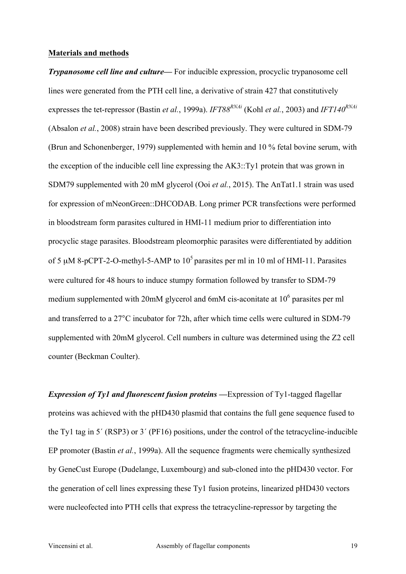### **Materials and methods**

*Trypanosome cell line and culture—* For inducible expression, procyclic trypanosome cell lines were generated from the PTH cell line, a derivative of strain 427 that constitutively expresses the tet-repressor (Bastin *et al.*, 1999a). *IFT88<sup>RNAi</sup>* (Kohl *et al.*, 2003) and *IFT140<sup>RNAi*</sup> (Absalon *et al.*, 2008) strain have been described previously. They were cultured in SDM-79 (Brun and Schonenberger, 1979) supplemented with hemin and 10 % fetal bovine serum, with the exception of the inducible cell line expressing the AK3::Ty1 protein that was grown in SDM79 supplemented with 20 mM glycerol (Ooi *et al.*, 2015). The AnTat1.1 strain was used for expression of mNeonGreen::DHCODAB. Long primer PCR transfections were performed in bloodstream form parasites cultured in HMI-11 medium prior to differentiation into procyclic stage parasites. Bloodstream pleomorphic parasites were differentiated by addition of 5  $\mu$ M 8-pCPT-2-O-methyl-5-AMP to 10<sup>5</sup> parasites per ml in 10 ml of HMI-11. Parasites were cultured for 48 hours to induce stumpy formation followed by transfer to SDM-79 medium supplemented with 20mM glycerol and 6mM cis-aconitate at  $10<sup>6</sup>$  parasites per ml and transferred to a 27°C incubator for 72h, after which time cells were cultured in SDM-79 supplemented with 20mM glycerol. Cell numbers in culture was determined using the Z2 cell counter (Beckman Coulter).

*Expression of Ty1 and fluorescent fusion proteins —*Expression of Ty1-tagged flagellar proteins was achieved with the pHD430 plasmid that contains the full gene sequence fused to the Ty1 tag in 5´ (RSP3) or 3´ (PF16) positions, under the control of the tetracycline-inducible EP promoter (Bastin *et al.*, 1999a). All the sequence fragments were chemically synthesized by GeneCust Europe (Dudelange, Luxembourg) and sub-cloned into the pHD430 vector. For the generation of cell lines expressing these Ty1 fusion proteins, linearized pHD430 vectors were nucleofected into PTH cells that express the tetracycline-repressor by targeting the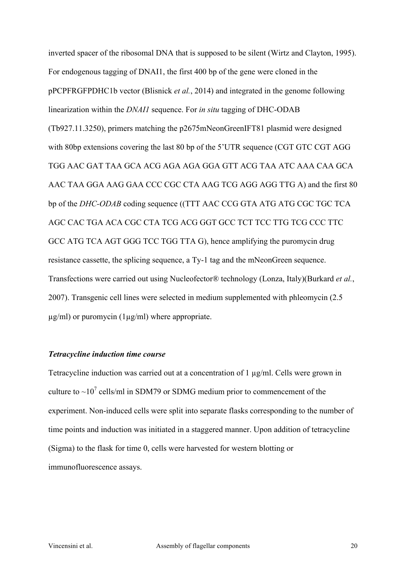inverted spacer of the ribosomal DNA that is supposed to be silent (Wirtz and Clayton, 1995). For endogenous tagging of DNAI1, the first 400 bp of the gene were cloned in the pPCPFRGFPDHC1b vector (Blisnick *et al.*, 2014) and integrated in the genome following linearization within the *DNAI1* sequence. For *in situ* tagging of DHC-ODAB (Tb927.11.3250), primers matching the p2675mNeonGreenIFT81 plasmid were designed with 80bp extensions covering the last 80 bp of the 5'UTR sequence (CGT GTC CGT AGG TGG AAC GAT TAA GCA ACG AGA AGA GGA GTT ACG TAA ATC AAA CAA GCA AAC TAA GGA AAG GAA CCC CGC CTA AAG TCG AGG AGG TTG A) and the first 80 bp of the *DHC-ODAB* coding sequence ((TTT AAC CCG GTA ATG ATG CGC TGC TCA AGC CAC TGA ACA CGC CTA TCG ACG GGT GCC TCT TCC TTG TCG CCC TTC GCC ATG TCA AGT GGG TCC TGG TTA G), hence amplifying the puromycin drug resistance cassette, the splicing sequence, a Ty-1 tag and the mNeonGreen sequence. Transfections were carried out using Nucleofector® technology (Lonza, Italy)(Burkard *et al.*, 2007). Transgenic cell lines were selected in medium supplemented with phleomycin (2.5  $\mu$ g/ml) or puromycin (1 $\mu$ g/ml) where appropriate.

### *Tetracycline induction time course*

Tetracycline induction was carried out at a concentration of  $1 \mu g/ml$ . Cells were grown in culture to  $\sim 10^7$  cells/ml in SDM79 or SDMG medium prior to commencement of the experiment. Non-induced cells were split into separate flasks corresponding to the number of time points and induction was initiated in a staggered manner. Upon addition of tetracycline (Sigma) to the flask for time 0, cells were harvested for western blotting or immunofluorescence assays.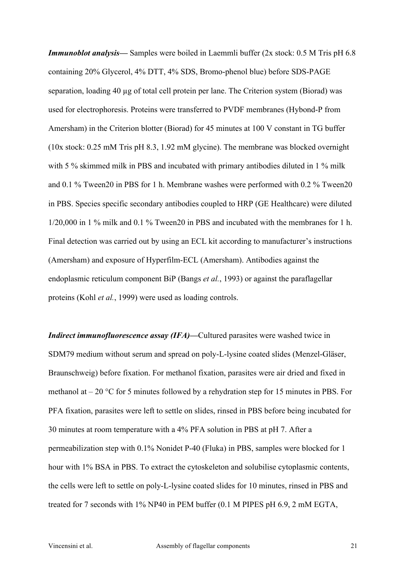*Immunoblot analysis—* Samples were boiled in Laemmli buffer (2x stock: 0.5 M Tris pH 6.8 containing 20% Glycerol, 4% DTT, 4% SDS, Bromo-phenol blue) before SDS-PAGE separation, loading 40 µg of total cell protein per lane. The Criterion system (Biorad) was used for electrophoresis. Proteins were transferred to PVDF membranes (Hybond-P from Amersham) in the Criterion blotter (Biorad) for 45 minutes at 100 V constant in TG buffer (10x stock: 0.25 mM Tris pH 8.3, 1.92 mM glycine). The membrane was blocked overnight with 5 % skimmed milk in PBS and incubated with primary antibodies diluted in 1 % milk and 0.1 % Tween20 in PBS for 1 h. Membrane washes were performed with 0.2 % Tween20 in PBS. Species specific secondary antibodies coupled to HRP (GE Healthcare) were diluted 1/20,000 in 1 % milk and 0.1 % Tween20 in PBS and incubated with the membranes for 1 h. Final detection was carried out by using an ECL kit according to manufacturer's instructions (Amersham) and exposure of Hyperfilm-ECL (Amersham). Antibodies against the endoplasmic reticulum component BiP (Bangs *et al.*, 1993) or against the paraflagellar proteins (Kohl *et al.*, 1999) were used as loading controls.

*Indirect immunofluorescence assay (IFA)—Cultured parasites were washed twice in* SDM79 medium without serum and spread on poly-L-lysine coated slides (Menzel-Gläser, Braunschweig) before fixation. For methanol fixation, parasites were air dried and fixed in methanol at  $-20$  °C for 5 minutes followed by a rehydration step for 15 minutes in PBS. For PFA fixation, parasites were left to settle on slides, rinsed in PBS before being incubated for 30 minutes at room temperature with a 4% PFA solution in PBS at pH 7. After a permeabilization step with 0.1% Nonidet P-40 (Fluka) in PBS, samples were blocked for 1 hour with 1% BSA in PBS. To extract the cytoskeleton and solubilise cytoplasmic contents, the cells were left to settle on poly-L-lysine coated slides for 10 minutes, rinsed in PBS and treated for 7 seconds with 1% NP40 in PEM buffer (0.1 M PIPES pH 6.9, 2 mM EGTA,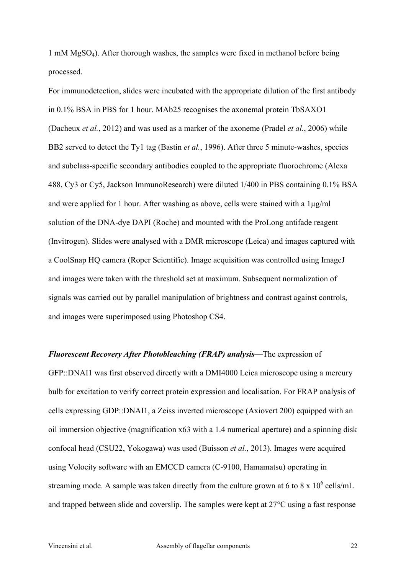1 mM MgSO4). After thorough washes, the samples were fixed in methanol before being processed.

For immunodetection, slides were incubated with the appropriate dilution of the first antibody in 0.1% BSA in PBS for 1 hour. MAb25 recognises the axonemal protein TbSAXO1 (Dacheux *et al.*, 2012) and was used as a marker of the axoneme (Pradel *et al.*, 2006) while BB2 served to detect the Ty1 tag (Bastin *et al.*, 1996). After three 5 minute-washes, species and subclass-specific secondary antibodies coupled to the appropriate fluorochrome (Alexa 488, Cy3 or Cy5, Jackson ImmunoResearch) were diluted 1/400 in PBS containing 0.1% BSA and were applied for 1 hour. After washing as above, cells were stained with a 1µg/ml solution of the DNA-dye DAPI (Roche) and mounted with the ProLong antifade reagent (Invitrogen). Slides were analysed with a DMR microscope (Leica) and images captured with a CoolSnap HQ camera (Roper Scientific). Image acquisition was controlled using ImageJ and images were taken with the threshold set at maximum. Subsequent normalization of signals was carried out by parallel manipulation of brightness and contrast against controls, and images were superimposed using Photoshop CS4.

*Fluorescent Recovery After Photobleaching (FRAP) analysis—*The expression of GFP::DNAI1 was first observed directly with a DMI4000 Leica microscope using a mercury bulb for excitation to verify correct protein expression and localisation. For FRAP analysis of cells expressing GDP::DNAI1, a Zeiss inverted microscope (Axiovert 200) equipped with an oil immersion objective (magnification x63 with a 1.4 numerical aperture) and a spinning disk confocal head (CSU22, Yokogawa) was used (Buisson *et al.*, 2013). Images were acquired using Volocity software with an EMCCD camera (C-9100, Hamamatsu) operating in streaming mode. A sample was taken directly from the culture grown at 6 to 8 x  $10^6$  cells/mL and trapped between slide and coverslip. The samples were kept at 27°C using a fast response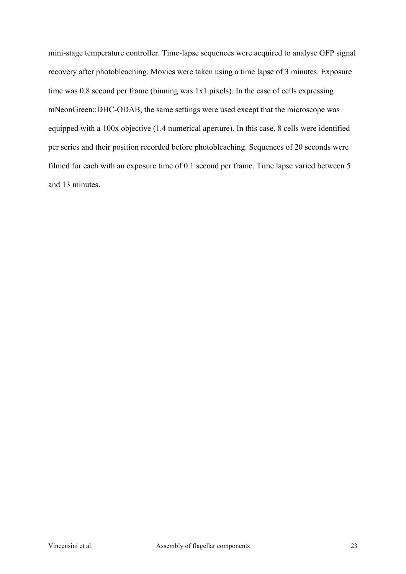mini-stage temperature controller. Time-lapse sequences were acquired to analyse GFP signal recovery after photobleaching. Movies were taken using a time lapse of 3 minutes. Exposure time was 0.8 second per frame (binning was 1x1 pixels). In the case of cells expressing mNeonGreen::DHC-ODAB, the same settings were used except that the microscope was equipped with a 100x objective (1.4 numerical aperture). In this case, 8 cells were identified per series and their position recorded before photobleaching. Sequences of 20 seconds were filmed for each with an exposure time of 0.1 second per frame. Time lapse varied between 5 and 13 minutes.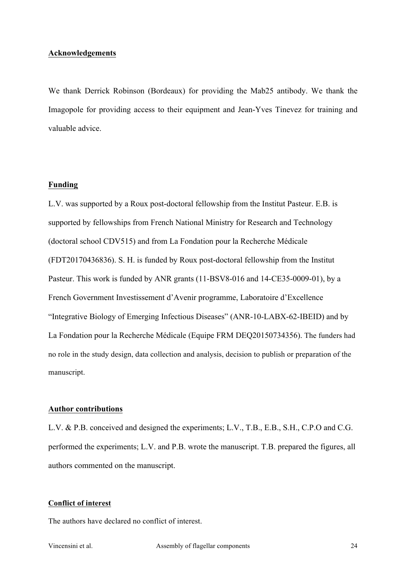### **Acknowledgements**

We thank Derrick Robinson (Bordeaux) for providing the Mab25 antibody. We thank the Imagopole for providing access to their equipment and Jean-Yves Tinevez for training and valuable advice.

### **Funding**

L.V. was supported by a Roux post-doctoral fellowship from the Institut Pasteur. E.B. is supported by fellowships from French National Ministry for Research and Technology (doctoral school CDV515) and from La Fondation pour la Recherche Médicale (FDT20170436836). S. H. is funded by Roux post-doctoral fellowship from the Institut Pasteur. This work is funded by ANR grants (11-BSV8-016 and 14-CE35-0009-01), by a French Government Investissement d'Avenir programme, Laboratoire d'Excellence "Integrative Biology of Emerging Infectious Diseases" (ANR-10-LABX-62-IBEID) and by La Fondation pour la Recherche Médicale (Equipe FRM DEQ20150734356). The funders had no role in the study design, data collection and analysis, decision to publish or preparation of the manuscript.

### **Author contributions**

L.V. & P.B. conceived and designed the experiments; L.V., T.B., E.B., S.H., C.P.O and C.G. performed the experiments; L.V. and P.B. wrote the manuscript. T.B. prepared the figures, all authors commented on the manuscript.

### **Conflict of interest**

The authors have declared no conflict of interest.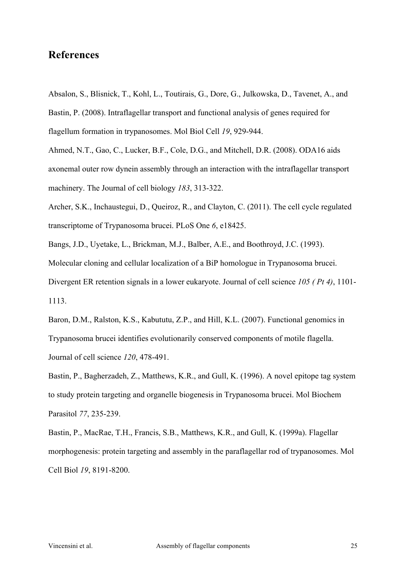### **References**

Absalon, S., Blisnick, T., Kohl, L., Toutirais, G., Dore, G., Julkowska, D., Tavenet, A., and Bastin, P. (2008). Intraflagellar transport and functional analysis of genes required for flagellum formation in trypanosomes. Mol Biol Cell *19*, 929-944.

Ahmed, N.T., Gao, C., Lucker, B.F., Cole, D.G., and Mitchell, D.R. (2008). ODA16 aids axonemal outer row dynein assembly through an interaction with the intraflagellar transport machinery. The Journal of cell biology *183*, 313-322.

Archer, S.K., Inchaustegui, D., Queiroz, R., and Clayton, C. (2011). The cell cycle regulated transcriptome of Trypanosoma brucei. PLoS One *6*, e18425.

Bangs, J.D., Uyetake, L., Brickman, M.J., Balber, A.E., and Boothroyd, J.C. (1993).

Molecular cloning and cellular localization of a BiP homologue in Trypanosoma brucei.

Divergent ER retention signals in a lower eukaryote. Journal of cell science *105 ( Pt 4)*, 1101- 1113.

Baron, D.M., Ralston, K.S., Kabututu, Z.P., and Hill, K.L. (2007). Functional genomics in Trypanosoma brucei identifies evolutionarily conserved components of motile flagella. Journal of cell science *120*, 478-491.

Bastin, P., Bagherzadeh, Z., Matthews, K.R., and Gull, K. (1996). A novel epitope tag system to study protein targeting and organelle biogenesis in Trypanosoma brucei. Mol Biochem Parasitol *77*, 235-239.

Bastin, P., MacRae, T.H., Francis, S.B., Matthews, K.R., and Gull, K. (1999a). Flagellar morphogenesis: protein targeting and assembly in the paraflagellar rod of trypanosomes. Mol Cell Biol *19*, 8191-8200.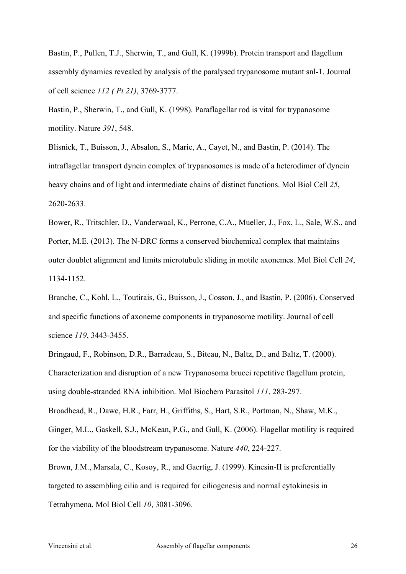Bastin, P., Pullen, T.J., Sherwin, T., and Gull, K. (1999b). Protein transport and flagellum assembly dynamics revealed by analysis of the paralysed trypanosome mutant snl-1. Journal of cell science *112 ( Pt 21)*, 3769-3777.

Bastin, P., Sherwin, T., and Gull, K. (1998). Paraflagellar rod is vital for trypanosome motility. Nature *391*, 548.

Blisnick, T., Buisson, J., Absalon, S., Marie, A., Cayet, N., and Bastin, P. (2014). The intraflagellar transport dynein complex of trypanosomes is made of a heterodimer of dynein heavy chains and of light and intermediate chains of distinct functions. Mol Biol Cell *25*, 2620-2633.

Bower, R., Tritschler, D., Vanderwaal, K., Perrone, C.A., Mueller, J., Fox, L., Sale, W.S., and Porter, M.E. (2013). The N-DRC forms a conserved biochemical complex that maintains outer doublet alignment and limits microtubule sliding in motile axonemes. Mol Biol Cell *24*, 1134-1152.

Branche, C., Kohl, L., Toutirais, G., Buisson, J., Cosson, J., and Bastin, P. (2006). Conserved and specific functions of axoneme components in trypanosome motility. Journal of cell science *119*, 3443-3455.

Bringaud, F., Robinson, D.R., Barradeau, S., Biteau, N., Baltz, D., and Baltz, T. (2000). Characterization and disruption of a new Trypanosoma brucei repetitive flagellum protein, using double-stranded RNA inhibition. Mol Biochem Parasitol *111*, 283-297. Broadhead, R., Dawe, H.R., Farr, H., Griffiths, S., Hart, S.R., Portman, N., Shaw, M.K., Ginger, M.L., Gaskell, S.J., McKean, P.G., and Gull, K. (2006). Flagellar motility is required for the viability of the bloodstream trypanosome. Nature *440*, 224-227. Brown, J.M., Marsala, C., Kosoy, R., and Gaertig, J. (1999). Kinesin-II is preferentially targeted to assembling cilia and is required for ciliogenesis and normal cytokinesis in

Tetrahymena. Mol Biol Cell *10*, 3081-3096.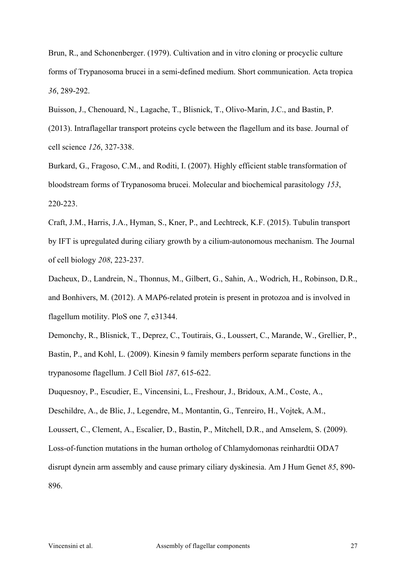Brun, R., and Schonenberger. (1979). Cultivation and in vitro cloning or procyclic culture forms of Trypanosoma brucei in a semi-defined medium. Short communication. Acta tropica *36*, 289-292.

Buisson, J., Chenouard, N., Lagache, T., Blisnick, T., Olivo-Marin, J.C., and Bastin, P.

(2013). Intraflagellar transport proteins cycle between the flagellum and its base. Journal of cell science *126*, 327-338.

Burkard, G., Fragoso, C.M., and Roditi, I. (2007). Highly efficient stable transformation of bloodstream forms of Trypanosoma brucei. Molecular and biochemical parasitology *153*, 220-223.

Craft, J.M., Harris, J.A., Hyman, S., Kner, P., and Lechtreck, K.F. (2015). Tubulin transport by IFT is upregulated during ciliary growth by a cilium-autonomous mechanism. The Journal of cell biology *208*, 223-237.

Dacheux, D., Landrein, N., Thonnus, M., Gilbert, G., Sahin, A., Wodrich, H., Robinson, D.R., and Bonhivers, M. (2012). A MAP6-related protein is present in protozoa and is involved in flagellum motility. PloS one *7*, e31344.

Demonchy, R., Blisnick, T., Deprez, C., Toutirais, G., Loussert, C., Marande, W., Grellier, P., Bastin, P., and Kohl, L. (2009). Kinesin 9 family members perform separate functions in the trypanosome flagellum. J Cell Biol *187*, 615-622.

Duquesnoy, P., Escudier, E., Vincensini, L., Freshour, J., Bridoux, A.M., Coste, A.,

Deschildre, A., de Blic, J., Legendre, M., Montantin, G., Tenreiro, H., Vojtek, A.M.,

Loussert, C., Clement, A., Escalier, D., Bastin, P., Mitchell, D.R., and Amselem, S. (2009).

Loss-of-function mutations in the human ortholog of Chlamydomonas reinhardtii ODA7

disrupt dynein arm assembly and cause primary ciliary dyskinesia. Am J Hum Genet *85*, 890- 896.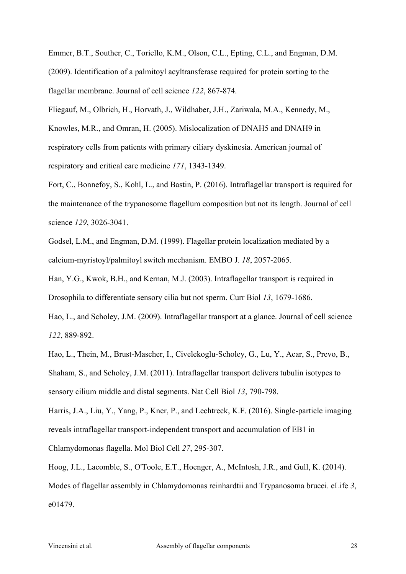Emmer, B.T., Souther, C., Toriello, K.M., Olson, C.L., Epting, C.L., and Engman, D.M. (2009). Identification of a palmitoyl acyltransferase required for protein sorting to the flagellar membrane. Journal of cell science *122*, 867-874.

Fliegauf, M., Olbrich, H., Horvath, J., Wildhaber, J.H., Zariwala, M.A., Kennedy, M., Knowles, M.R., and Omran, H. (2005). Mislocalization of DNAH5 and DNAH9 in respiratory cells from patients with primary ciliary dyskinesia. American journal of respiratory and critical care medicine *171*, 1343-1349.

Fort, C., Bonnefoy, S., Kohl, L., and Bastin, P. (2016). Intraflagellar transport is required for the maintenance of the trypanosome flagellum composition but not its length. Journal of cell science *129*, 3026-3041.

Godsel, L.M., and Engman, D.M. (1999). Flagellar protein localization mediated by a calcium-myristoyl/palmitoyl switch mechanism. EMBO J. *18*, 2057-2065.

Han, Y.G., Kwok, B.H., and Kernan, M.J. (2003). Intraflagellar transport is required in Drosophila to differentiate sensory cilia but not sperm. Curr Biol *13*, 1679-1686.

Hao, L., and Scholey, J.M. (2009). Intraflagellar transport at a glance. Journal of cell science *122*, 889-892.

Hao, L., Thein, M., Brust-Mascher, I., Civelekoglu-Scholey, G., Lu, Y., Acar, S., Prevo, B., Shaham, S., and Scholey, J.M. (2011). Intraflagellar transport delivers tubulin isotypes to sensory cilium middle and distal segments. Nat Cell Biol *13*, 790-798.

Harris, J.A., Liu, Y., Yang, P., Kner, P., and Lechtreck, K.F. (2016). Single-particle imaging reveals intraflagellar transport-independent transport and accumulation of EB1 in Chlamydomonas flagella. Mol Biol Cell *27*, 295-307.

Hoog, J.L., Lacomble, S., O'Toole, E.T., Hoenger, A., McIntosh, J.R., and Gull, K. (2014). Modes of flagellar assembly in Chlamydomonas reinhardtii and Trypanosoma brucei. eLife *3*, e01479.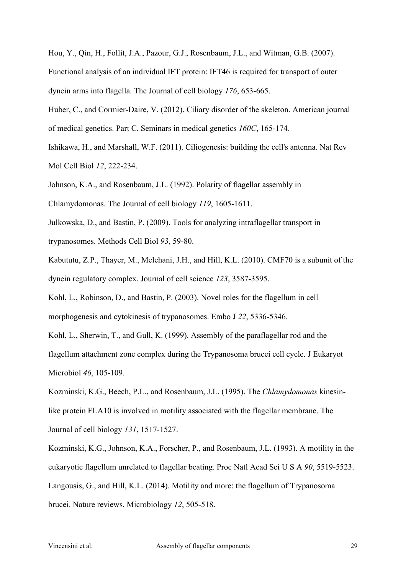Hou, Y., Qin, H., Follit, J.A., Pazour, G.J., Rosenbaum, J.L., and Witman, G.B. (2007). Functional analysis of an individual IFT protein: IFT46 is required for transport of outer dynein arms into flagella. The Journal of cell biology *176*, 653-665.

Huber, C., and Cormier-Daire, V. (2012). Ciliary disorder of the skeleton. American journal of medical genetics. Part C, Seminars in medical genetics *160C*, 165-174.

Ishikawa, H., and Marshall, W.F. (2011). Ciliogenesis: building the cell's antenna. Nat Rev Mol Cell Biol *12*, 222-234.

Johnson, K.A., and Rosenbaum, J.L. (1992). Polarity of flagellar assembly in

Chlamydomonas. The Journal of cell biology *119*, 1605-1611.

Julkowska, D., and Bastin, P. (2009). Tools for analyzing intraflagellar transport in trypanosomes. Methods Cell Biol *93*, 59-80.

Kabututu, Z.P., Thayer, M., Melehani, J.H., and Hill, K.L. (2010). CMF70 is a subunit of the dynein regulatory complex. Journal of cell science *123*, 3587-3595.

Kohl, L., Robinson, D., and Bastin, P. (2003). Novel roles for the flagellum in cell morphogenesis and cytokinesis of trypanosomes. Embo J *22*, 5336-5346.

Kohl, L., Sherwin, T., and Gull, K. (1999). Assembly of the paraflagellar rod and the flagellum attachment zone complex during the Trypanosoma brucei cell cycle. J Eukaryot Microbiol *46*, 105-109.

Kozminski, K.G., Beech, P.L., and Rosenbaum, J.L. (1995). The *Chlamydomonas* kinesinlike protein FLA10 is involved in motility associated with the flagellar membrane. The Journal of cell biology *131*, 1517-1527.

Kozminski, K.G., Johnson, K.A., Forscher, P., and Rosenbaum, J.L. (1993). A motility in the eukaryotic flagellum unrelated to flagellar beating. Proc Natl Acad Sci U S A *90*, 5519-5523. Langousis, G., and Hill, K.L. (2014). Motility and more: the flagellum of Trypanosoma brucei. Nature reviews. Microbiology *12*, 505-518.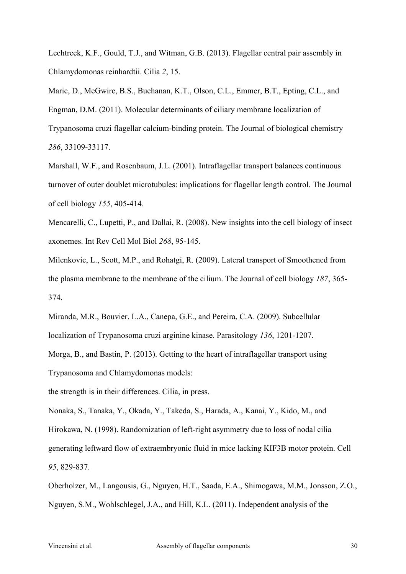Lechtreck, K.F., Gould, T.J., and Witman, G.B. (2013). Flagellar central pair assembly in Chlamydomonas reinhardtii. Cilia *2*, 15.

Maric, D., McGwire, B.S., Buchanan, K.T., Olson, C.L., Emmer, B.T., Epting, C.L., and Engman, D.M. (2011). Molecular determinants of ciliary membrane localization of Trypanosoma cruzi flagellar calcium-binding protein. The Journal of biological chemistry *286*, 33109-33117.

Marshall, W.F., and Rosenbaum, J.L. (2001). Intraflagellar transport balances continuous turnover of outer doublet microtubules: implications for flagellar length control. The Journal of cell biology *155*, 405-414.

Mencarelli, C., Lupetti, P., and Dallai, R. (2008). New insights into the cell biology of insect axonemes. Int Rev Cell Mol Biol *268*, 95-145.

Milenkovic, L., Scott, M.P., and Rohatgi, R. (2009). Lateral transport of Smoothened from the plasma membrane to the membrane of the cilium. The Journal of cell biology *187*, 365- 374.

Miranda, M.R., Bouvier, L.A., Canepa, G.E., and Pereira, C.A. (2009). Subcellular localization of Trypanosoma cruzi arginine kinase. Parasitology *136*, 1201-1207. Morga, B., and Bastin, P. (2013). Getting to the heart of intraflagellar transport using

Trypanosoma and Chlamydomonas models:

the strength is in their differences. Cilia, in press.

Nonaka, S., Tanaka, Y., Okada, Y., Takeda, S., Harada, A., Kanai, Y., Kido, M., and Hirokawa, N. (1998). Randomization of left-right asymmetry due to loss of nodal cilia generating leftward flow of extraembryonic fluid in mice lacking KIF3B motor protein. Cell *95*, 829-837.

Oberholzer, M., Langousis, G., Nguyen, H.T., Saada, E.A., Shimogawa, M.M., Jonsson, Z.O., Nguyen, S.M., Wohlschlegel, J.A., and Hill, K.L. (2011). Independent analysis of the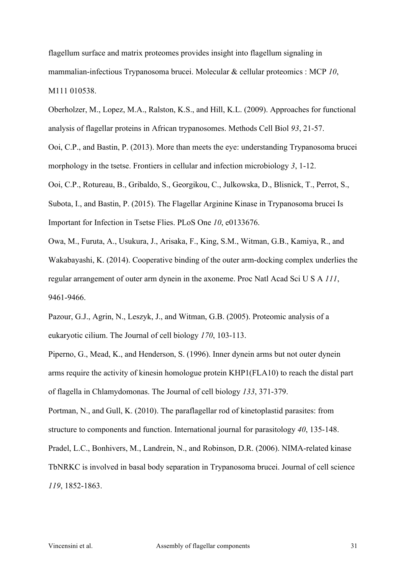flagellum surface and matrix proteomes provides insight into flagellum signaling in mammalian-infectious Trypanosoma brucei. Molecular & cellular proteomics : MCP *10*, M111 010538.

Oberholzer, M., Lopez, M.A., Ralston, K.S., and Hill, K.L. (2009). Approaches for functional analysis of flagellar proteins in African trypanosomes. Methods Cell Biol *93*, 21-57.

Ooi, C.P., and Bastin, P. (2013). More than meets the eye: understanding Trypanosoma brucei morphology in the tsetse. Frontiers in cellular and infection microbiology *3*, 1-12.

Ooi, C.P., Rotureau, B., Gribaldo, S., Georgikou, C., Julkowska, D., Blisnick, T., Perrot, S., Subota, I., and Bastin, P. (2015). The Flagellar Arginine Kinase in Trypanosoma brucei Is Important for Infection in Tsetse Flies. PLoS One *10*, e0133676.

Owa, M., Furuta, A., Usukura, J., Arisaka, F., King, S.M., Witman, G.B., Kamiya, R., and Wakabayashi, K. (2014). Cooperative binding of the outer arm-docking complex underlies the regular arrangement of outer arm dynein in the axoneme. Proc Natl Acad Sci U S A *111*, 9461-9466.

Pazour, G.J., Agrin, N., Leszyk, J., and Witman, G.B. (2005). Proteomic analysis of a eukaryotic cilium. The Journal of cell biology *170*, 103-113.

Piperno, G., Mead, K., and Henderson, S. (1996). Inner dynein arms but not outer dynein arms require the activity of kinesin homologue protein KHP1(FLA10) to reach the distal part of flagella in Chlamydomonas. The Journal of cell biology *133*, 371-379.

Portman, N., and Gull, K. (2010). The paraflagellar rod of kinetoplastid parasites: from structure to components and function. International journal for parasitology *40*, 135-148. Pradel, L.C., Bonhivers, M., Landrein, N., and Robinson, D.R. (2006). NIMA-related kinase TbNRKC is involved in basal body separation in Trypanosoma brucei. Journal of cell science *119*, 1852-1863.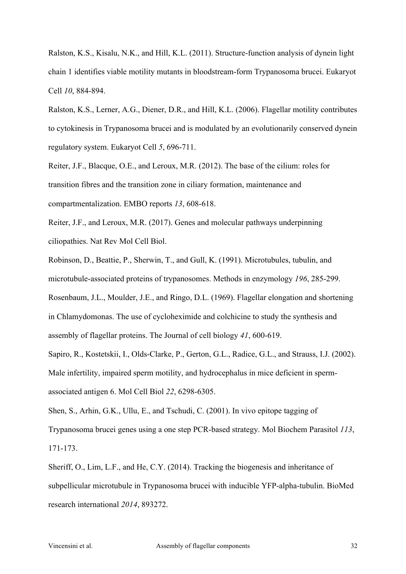Ralston, K.S., Kisalu, N.K., and Hill, K.L. (2011). Structure-function analysis of dynein light chain 1 identifies viable motility mutants in bloodstream-form Trypanosoma brucei. Eukaryot Cell *10*, 884-894.

Ralston, K.S., Lerner, A.G., Diener, D.R., and Hill, K.L. (2006). Flagellar motility contributes to cytokinesis in Trypanosoma brucei and is modulated by an evolutionarily conserved dynein regulatory system. Eukaryot Cell *5*, 696-711.

Reiter, J.F., Blacque, O.E., and Leroux, M.R. (2012). The base of the cilium: roles for transition fibres and the transition zone in ciliary formation, maintenance and compartmentalization. EMBO reports *13*, 608-618.

Reiter, J.F., and Leroux, M.R. (2017). Genes and molecular pathways underpinning ciliopathies. Nat Rev Mol Cell Biol.

Robinson, D., Beattie, P., Sherwin, T., and Gull, K. (1991). Microtubules, tubulin, and microtubule-associated proteins of trypanosomes. Methods in enzymology *196*, 285-299. Rosenbaum, J.L., Moulder, J.E., and Ringo, D.L. (1969). Flagellar elongation and shortening in Chlamydomonas. The use of cycloheximide and colchicine to study the synthesis and assembly of flagellar proteins. The Journal of cell biology *41*, 600-619.

Sapiro, R., Kostetskii, I., Olds-Clarke, P., Gerton, G.L., Radice, G.L., and Strauss, I.J. (2002). Male infertility, impaired sperm motility, and hydrocephalus in mice deficient in spermassociated antigen 6. Mol Cell Biol *22*, 6298-6305.

Shen, S., Arhin, G.K., Ullu, E., and Tschudi, C. (2001). In vivo epitope tagging of Trypanosoma brucei genes using a one step PCR-based strategy. Mol Biochem Parasitol *113*, 171-173.

Sheriff, O., Lim, L.F., and He, C.Y. (2014). Tracking the biogenesis and inheritance of subpellicular microtubule in Trypanosoma brucei with inducible YFP-alpha-tubulin. BioMed research international *2014*, 893272.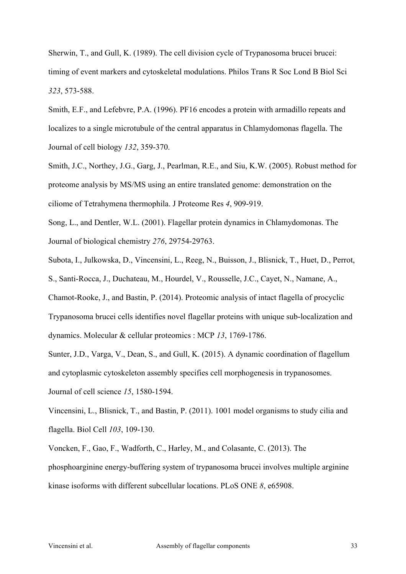Sherwin, T., and Gull, K. (1989). The cell division cycle of Trypanosoma brucei brucei: timing of event markers and cytoskeletal modulations. Philos Trans R Soc Lond B Biol Sci *323*, 573-588.

Smith, E.F., and Lefebvre, P.A. (1996). PF16 encodes a protein with armadillo repeats and localizes to a single microtubule of the central apparatus in Chlamydomonas flagella. The Journal of cell biology *132*, 359-370.

Smith, J.C., Northey, J.G., Garg, J., Pearlman, R.E., and Siu, K.W. (2005). Robust method for proteome analysis by MS/MS using an entire translated genome: demonstration on the ciliome of Tetrahymena thermophila. J Proteome Res *4*, 909-919.

Song, L., and Dentler, W.L. (2001). Flagellar protein dynamics in Chlamydomonas. The Journal of biological chemistry *276*, 29754-29763.

Subota, I., Julkowska, D., Vincensini, L., Reeg, N., Buisson, J., Blisnick, T., Huet, D., Perrot,

S., Santi-Rocca, J., Duchateau, M., Hourdel, V., Rousselle, J.C., Cayet, N., Namane, A.,

Chamot-Rooke, J., and Bastin, P. (2014). Proteomic analysis of intact flagella of procyclic Trypanosoma brucei cells identifies novel flagellar proteins with unique sub-localization and dynamics. Molecular & cellular proteomics : MCP *13*, 1769-1786.

Sunter, J.D., Varga, V., Dean, S., and Gull, K. (2015). A dynamic coordination of flagellum and cytoplasmic cytoskeleton assembly specifies cell morphogenesis in trypanosomes.

Journal of cell science *15*, 1580-1594.

Vincensini, L., Blisnick, T., and Bastin, P. (2011). 1001 model organisms to study cilia and flagella. Biol Cell *103*, 109-130.

Voncken, F., Gao, F., Wadforth, C., Harley, M., and Colasante, C. (2013). The phosphoarginine energy-buffering system of trypanosoma brucei involves multiple arginine kinase isoforms with different subcellular locations. PLoS ONE *8*, e65908.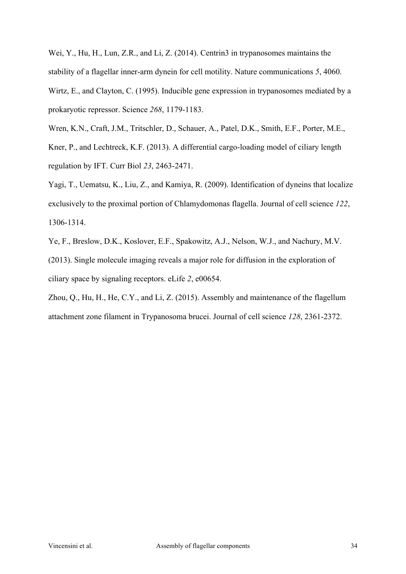Wei, Y., Hu, H., Lun, Z.R., and Li, Z. (2014). Centrin3 in trypanosomes maintains the stability of a flagellar inner-arm dynein for cell motility. Nature communications *5*, 4060. Wirtz, E., and Clayton, C. (1995). Inducible gene expression in trypanosomes mediated by a prokaryotic repressor. Science *268*, 1179-1183.

Wren, K.N., Craft, J.M., Tritschler, D., Schauer, A., Patel, D.K., Smith, E.F., Porter, M.E., Kner, P., and Lechtreck, K.F. (2013). A differential cargo-loading model of ciliary length regulation by IFT. Curr Biol *23*, 2463-2471.

Yagi, T., Uematsu, K., Liu, Z., and Kamiya, R. (2009). Identification of dyneins that localize exclusively to the proximal portion of Chlamydomonas flagella. Journal of cell science *122*, 1306-1314.

Ye, F., Breslow, D.K., Koslover, E.F., Spakowitz, A.J., Nelson, W.J., and Nachury, M.V. (2013). Single molecule imaging reveals a major role for diffusion in the exploration of ciliary space by signaling receptors. eLife *2*, e00654.

Zhou, Q., Hu, H., He, C.Y., and Li, Z. (2015). Assembly and maintenance of the flagellum attachment zone filament in Trypanosoma brucei. Journal of cell science *128*, 2361-2372.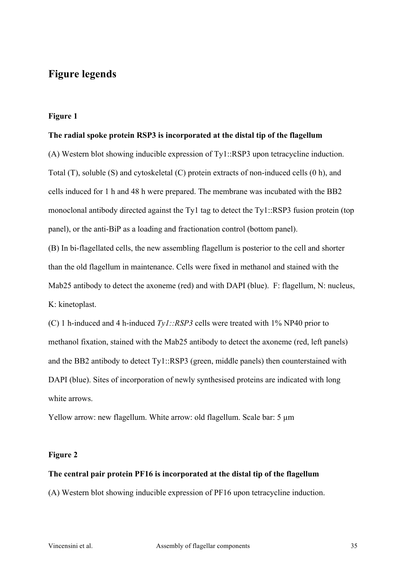### **Figure legends**

### **Figure 1**

### **The radial spoke protein RSP3 is incorporated at the distal tip of the flagellum**

(A) Western blot showing inducible expression of Ty1::RSP3 upon tetracycline induction. Total (T), soluble (S) and cytoskeletal (C) protein extracts of non-induced cells (0 h), and cells induced for 1 h and 48 h were prepared. The membrane was incubated with the BB2 monoclonal antibody directed against the Ty1 tag to detect the Ty1::RSP3 fusion protein (top panel), or the anti-BiP as a loading and fractionation control (bottom panel).

(B) In bi-flagellated cells, the new assembling flagellum is posterior to the cell and shorter than the old flagellum in maintenance. Cells were fixed in methanol and stained with the Mab25 antibody to detect the axoneme (red) and with DAPI (blue). F: flagellum, N: nucleus, K: kinetoplast.

(C) 1 h-induced and 4 h-induced *Ty1::RSP3* cells were treated with 1% NP40 prior to methanol fixation, stained with the Mab25 antibody to detect the axoneme (red, left panels) and the BB2 antibody to detect Ty1::RSP3 (green, middle panels) then counterstained with DAPI (blue). Sites of incorporation of newly synthesised proteins are indicated with long white arrows.

Yellow arrow: new flagellum. White arrow: old flagellum. Scale bar: 5  $\mu$ m

### **Figure 2**

### **The central pair protein PF16 is incorporated at the distal tip of the flagellum**

(A) Western blot showing inducible expression of PF16 upon tetracycline induction.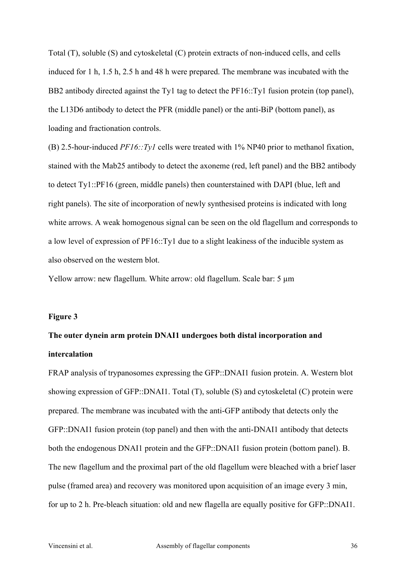Total (T), soluble (S) and cytoskeletal (C) protein extracts of non-induced cells, and cells induced for 1 h, 1.5 h, 2.5 h and 48 h were prepared. The membrane was incubated with the BB2 antibody directed against the Ty1 tag to detect the PF16::Ty1 fusion protein (top panel), the L13D6 antibody to detect the PFR (middle panel) or the anti-BiP (bottom panel), as loading and fractionation controls.

(B) 2.5-hour-induced *PF16::Ty1* cells were treated with 1% NP40 prior to methanol fixation, stained with the Mab25 antibody to detect the axoneme (red, left panel) and the BB2 antibody to detect Ty1::PF16 (green, middle panels) then counterstained with DAPI (blue, left and right panels). The site of incorporation of newly synthesised proteins is indicated with long white arrows. A weak homogenous signal can be seen on the old flagellum and corresponds to a low level of expression of PF16::Ty1 due to a slight leakiness of the inducible system as also observed on the western blot.

Yellow arrow: new flagellum. White arrow: old flagellum. Scale bar: 5  $\mu$ m

### **Figure 3**

## **The outer dynein arm protein DNAI1 undergoes both distal incorporation and intercalation**

FRAP analysis of trypanosomes expressing the GFP::DNAI1 fusion protein. A. Western blot showing expression of GFP::DNAI1. Total (T), soluble (S) and cytoskeletal (C) protein were prepared. The membrane was incubated with the anti-GFP antibody that detects only the GFP::DNAI1 fusion protein (top panel) and then with the anti-DNAI1 antibody that detects both the endogenous DNAI1 protein and the GFP::DNAI1 fusion protein (bottom panel). B. The new flagellum and the proximal part of the old flagellum were bleached with a brief laser pulse (framed area) and recovery was monitored upon acquisition of an image every 3 min, for up to 2 h. Pre-bleach situation: old and new flagella are equally positive for GFP::DNAI1.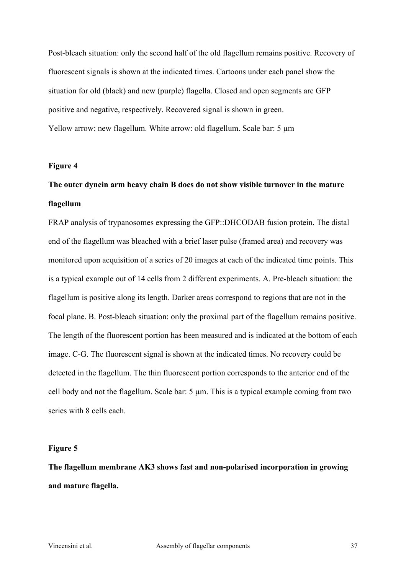Post-bleach situation: only the second half of the old flagellum remains positive. Recovery of fluorescent signals is shown at the indicated times. Cartoons under each panel show the situation for old (black) and new (purple) flagella. Closed and open segments are GFP positive and negative, respectively. Recovered signal is shown in green. Yellow arrow: new flagellum. White arrow: old flagellum. Scale bar: 5  $\mu$ m

### **Figure 4**

## **The outer dynein arm heavy chain B does do not show visible turnover in the mature flagellum**

FRAP analysis of trypanosomes expressing the GFP::DHCODAB fusion protein. The distal end of the flagellum was bleached with a brief laser pulse (framed area) and recovery was monitored upon acquisition of a series of 20 images at each of the indicated time points. This is a typical example out of 14 cells from 2 different experiments. A. Pre-bleach situation: the flagellum is positive along its length. Darker areas correspond to regions that are not in the focal plane. B. Post-bleach situation: only the proximal part of the flagellum remains positive. The length of the fluorescent portion has been measured and is indicated at the bottom of each image. C-G. The fluorescent signal is shown at the indicated times. No recovery could be detected in the flagellum. The thin fluorescent portion corresponds to the anterior end of the cell body and not the flagellum. Scale bar: 5 µm. This is a typical example coming from two series with 8 cells each.

### **Figure 5**

**The flagellum membrane AK3 shows fast and non-polarised incorporation in growing and mature flagella.**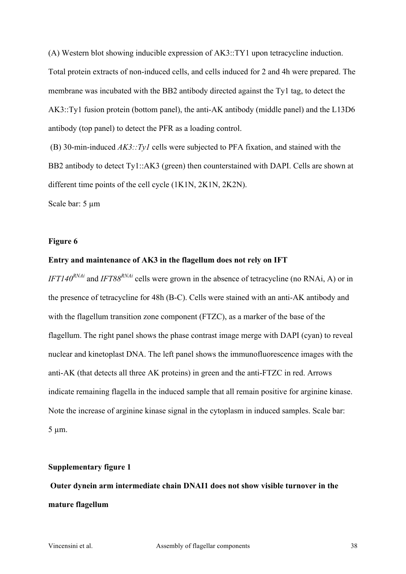(A) Western blot showing inducible expression of AK3::TY1 upon tetracycline induction. Total protein extracts of non-induced cells, and cells induced for 2 and 4h were prepared. The membrane was incubated with the BB2 antibody directed against the Ty1 tag, to detect the AK3::Ty1 fusion protein (bottom panel), the anti-AK antibody (middle panel) and the L13D6 antibody (top panel) to detect the PFR as a loading control.

(B) 30-min-induced *AK3::Ty1* cells were subjected to PFA fixation, and stained with the BB2 antibody to detect Ty1::AK3 (green) then counterstained with DAPI. Cells are shown at different time points of the cell cycle (1K1N, 2K1N, 2K2N).

Scale bar: 5  $\mu$ m

### **Figure 6**

### **Entry and maintenance of AK3 in the flagellum does not rely on IFT**

*IFT140<sup>RNAi</sup>* and *IFT88<sup>RNAi</sup>* cells were grown in the absence of tetracycline (no RNAi, A) or in the presence of tetracycline for 48h (B-C). Cells were stained with an anti-AK antibody and with the flagellum transition zone component (FTZC), as a marker of the base of the flagellum. The right panel shows the phase contrast image merge with DAPI (cyan) to reveal nuclear and kinetoplast DNA. The left panel shows the immunofluorescence images with the anti-AK (that detects all three AK proteins) in green and the anti-FTZC in red. Arrows indicate remaining flagella in the induced sample that all remain positive for arginine kinase. Note the increase of arginine kinase signal in the cytoplasm in induced samples. Scale bar: 5 µm.

### **Supplementary figure 1**

**Outer dynein arm intermediate chain DNAI1 does not show visible turnover in the mature flagellum**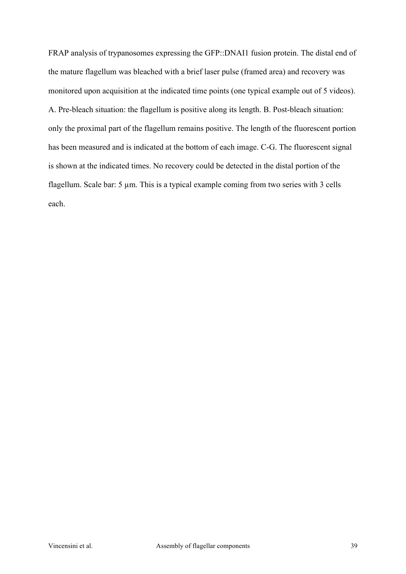FRAP analysis of trypanosomes expressing the GFP::DNAI1 fusion protein. The distal end of the mature flagellum was bleached with a brief laser pulse (framed area) and recovery was monitored upon acquisition at the indicated time points (one typical example out of 5 videos). A. Pre-bleach situation: the flagellum is positive along its length. B. Post-bleach situation: only the proximal part of the flagellum remains positive. The length of the fluorescent portion has been measured and is indicated at the bottom of each image. C-G. The fluorescent signal is shown at the indicated times. No recovery could be detected in the distal portion of the flagellum. Scale bar: 5 µm. This is a typical example coming from two series with 3 cells each.